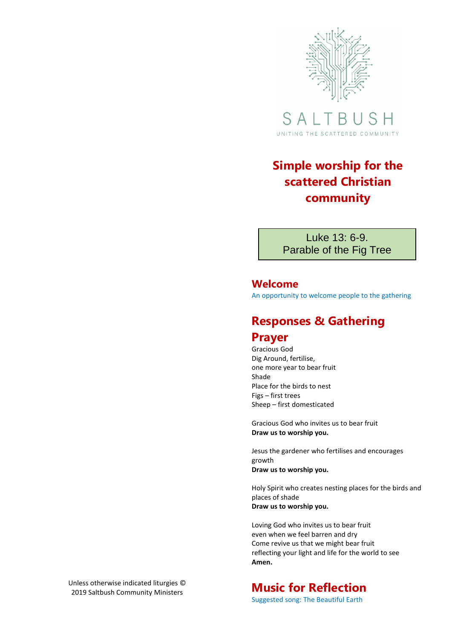

SAL S H B. UNITING THE SCATTERED COMMUNITY

## **Simple worship for the scattered Christian community**

Luke 13: 6-9. Parable of the Fig Tree

### **Welcome**

An opportunity to welcome people to the gathering

## **Responses & Gathering**

## **Prayer**

Gracious God Dig Around, fertilise, one more year to bear fruit Shade Place for the birds to nest Figs – first trees Sheep – first domesticated

Gracious God who invites us to bear fruit **Draw us to worship you.**

Jesus the gardener who fertilises and encourages growth **Draw us to worship you.**

Holy Spirit who creates nesting places for the birds and places of shade **Draw us to worship you.**

Loving God who invites us to bear fruit even when we feel barren and dry Come revive us that we might bear fruit reflecting your light and life for the world to see **Amen.**

# **Music for Reflection**

Suggested song: The Beautiful Earth

Unless otherwise indicated liturgies © 2019 Saltbush Community Ministers